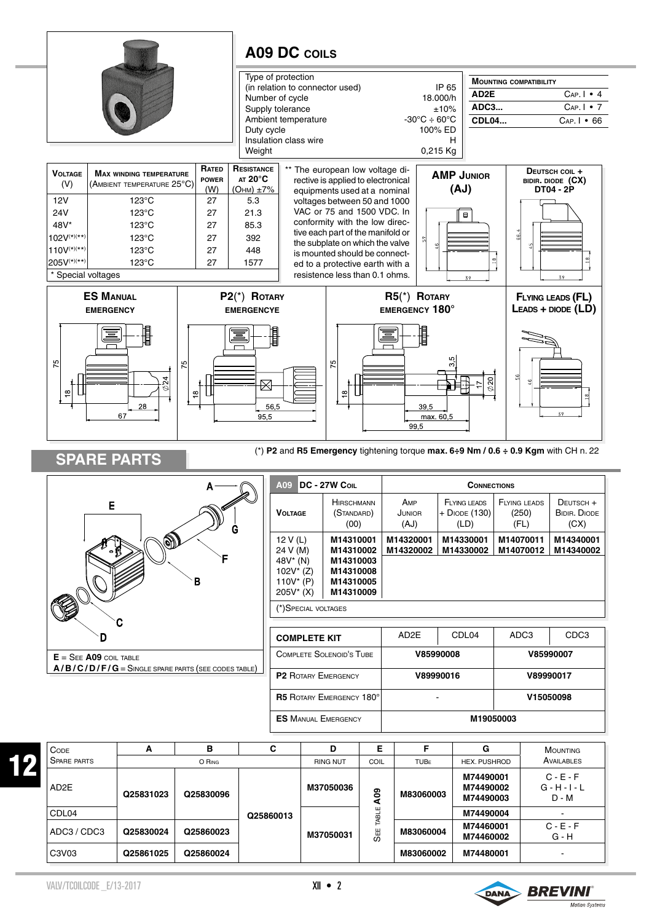

| <b>MAIM/TPOILE</b> | $\Box$ |  |
|--------------------|--------|--|

C3V03 **Q25861025 Q25860024 M83060002 M74480001** -

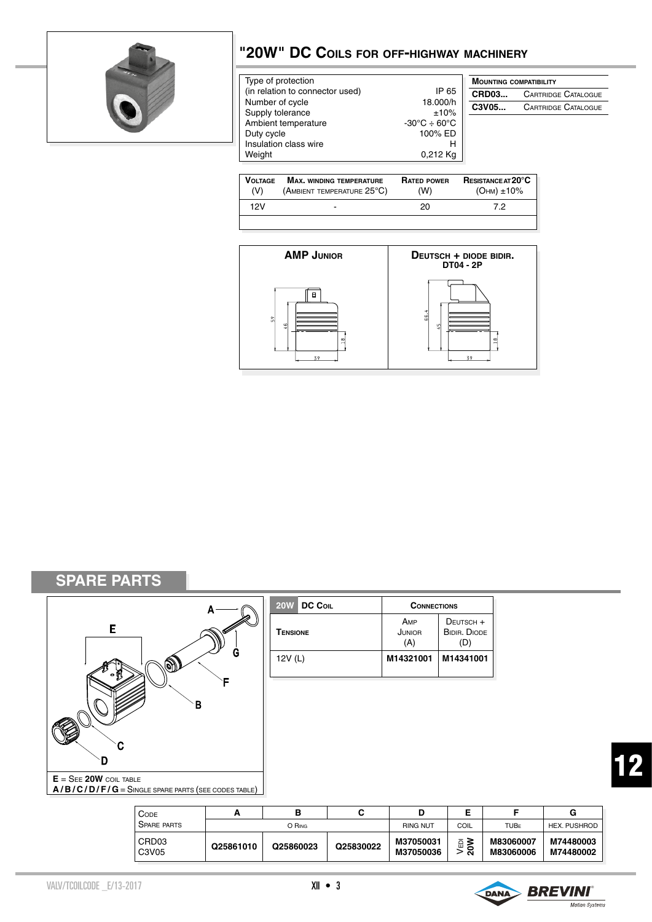

## **"20W" DC Coils for off-highway machinery**

| Type of protection                  |                                                | <b>MOUNTING COMPATIBILITY</b> |                            |
|-------------------------------------|------------------------------------------------|-------------------------------|----------------------------|
| (in relation to connector used)     | IP 65                                          | <b>CRD03</b>                  | <b>CARTRIDGE CATALOGUE</b> |
| Number of cycle                     | 18.000/h                                       | C3V05                         | <b>CARTRIDGE CATALOGUE</b> |
| Supply tolerance                    | ±10%<br>$-30^{\circ}$ C $\div$ 60 $^{\circ}$ C |                               |                            |
| Ambient temperature                 | 100% ED                                        |                               |                            |
| Duty cycle<br>Insulation class wire | н                                              |                               |                            |
| Weight                              | $0,212$ Kg                                     |                               |                            |
|                                     |                                                |                               |                            |

| <b>VOLTAGE</b><br>(V) | <b>MAX. WINDING TEMPERATURE</b><br>(AMBIENT TEMPERATURE $25^{\circ}$ C) | <b>RATED POWER</b><br>(W) | <b>RESISTANCE AT 20°C</b><br>(Онм) ±10% |
|-----------------------|-------------------------------------------------------------------------|---------------------------|-----------------------------------------|
| 12V                   | $\overline{\phantom{0}}$                                                | 20                        | 72                                      |
|                       |                                                                         |                           |                                         |



**SPARE PARTS**



| 20W DC Coll     | <b>CONNECTIONS</b>   |                                         |  |
|-----------------|----------------------|-----------------------------------------|--|
| <b>TENSIONE</b> | AMP<br>JUNIOR<br>(A) | DEUTSCH +<br><b>BIDIR, DIODE</b><br>(D) |  |
| 12V(L)          | M14321001            | M14341001                               |  |

| <b>CODE</b>                |           |           |           |                        |           |                        | G                      |
|----------------------------|-----------|-----------|-----------|------------------------|-----------|------------------------|------------------------|
| <b>SPARE PARTS</b>         |           | O RING    |           | <b>RING NUT</b>        | COIL      | <b>TUBF</b>            | HEX. PUSHROD           |
| CRD <sub>03</sub><br>C3V05 | Q25861010 | Q25860023 | Q25830022 | M37050031<br>M37050036 | .⊟ ≥<br>ສ | M83060007<br>M83060006 | M74480003<br>M74480002 |

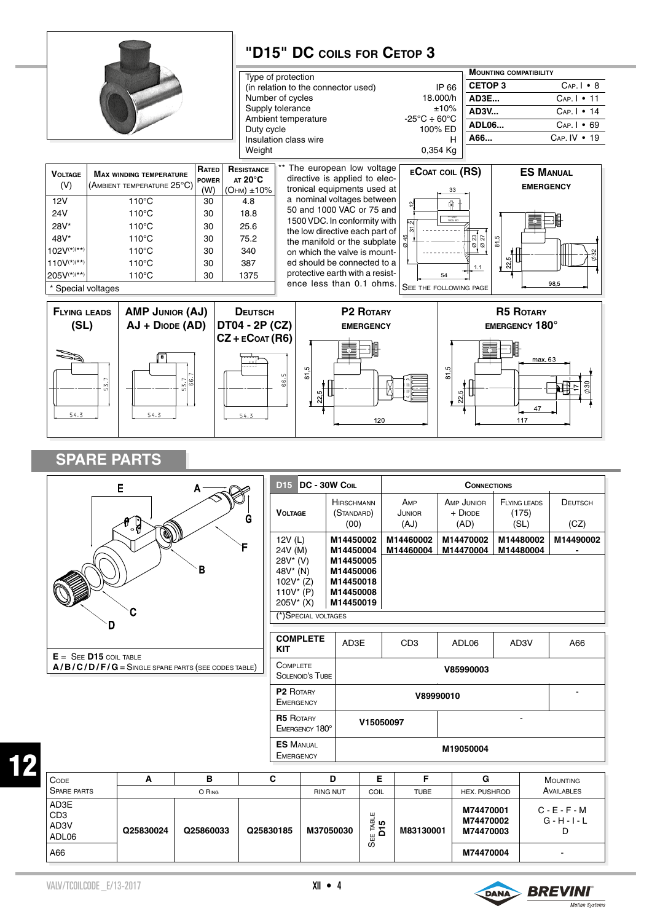



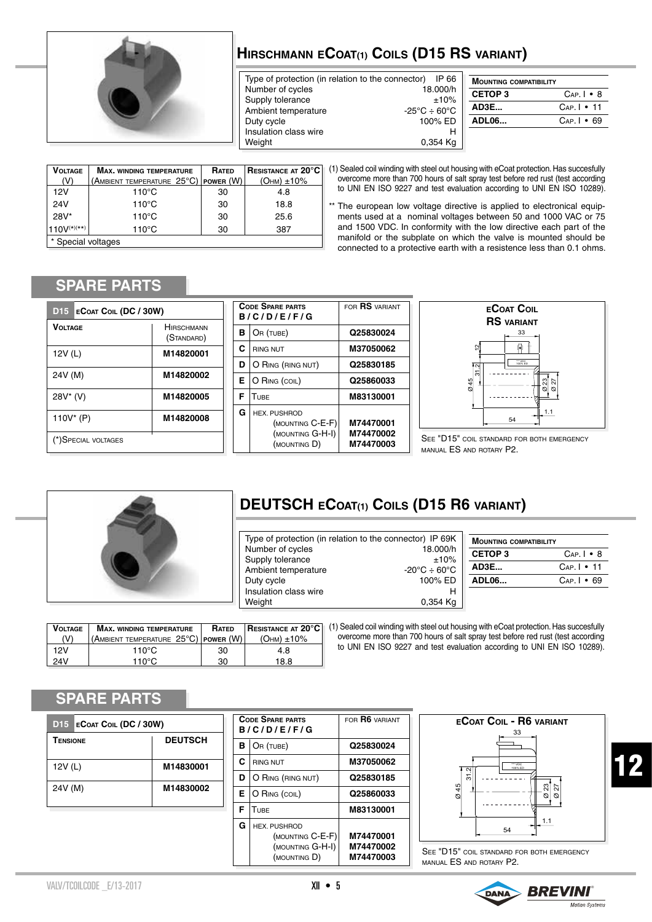

## **Hirschmann eCoat(1) Coils (D15 RS variant)**

Type of protection (in relation to the connector) IP 66 Number of cycles Supply tolerance  $\pm 10\%$ Ambient temperature  $-25^{\circ}\text{C} \div 60^{\circ}\text{C}$ <br>Duty cycle  $100\% \text{ ED}$ Duty cycle Insulation class wire **H**<br>Weight **Media** 0.354 Kg 0.354 Kg

| <b>MOUNTING COMPATIBILITY</b> |                      |  |
|-------------------------------|----------------------|--|
| <b>CETOP3</b>                 | $Cap.$   $\bullet$ 8 |  |
| AD3E                          | $Cap.I - 11$         |  |
| <b>ADL06</b>                  | $Cap.1 \cdot 69$     |  |
|                               |                      |  |

| <b>VOLTAGE</b>     | <b>MAX. WINDING TEMPERATURE</b>                           | RATED | <b>RESISTANCE AT 20°C</b> |
|--------------------|-----------------------------------------------------------|-------|---------------------------|
| (V)                | (Ambient temperature $25^{\circ}\mathrm{C}$ )   power (W) |       | $($ OHM $)$ $\pm$ 10%     |
| 12V                | $110^{\circ}$ C                                           | 30    | 4.8                       |
| 24V                | $110^{\circ}$ C                                           | 30    | 18.8                      |
| $28V*$             | $110^{\circ}$ C                                           | 30    | 25.6                      |
| $110V^{(*)(**)}$   | $110^{\circ}$ C                                           | 30    | 387                       |
| * Special voltages |                                                           |       |                           |

(1) Sealed coil winding with steel out housing with eCoat protection. Has succesfully overcome more than 700 hours of salt spray test before red rust (test according to UNI EN ISO 9227 and test evaluation according to UNI EN ISO 10289).

\*\* The european low voltage directive is applied to electronical equipments used at a nominal voltages between 50 and 1000 VAC or 75 and 1500 VDC. In conformity with the low directive each part of the manifold or the subplate on which the valve is mounted should be connected to a protective earth with a resistence less than 0.1 ohms.

### **SPARE PARTS**

| D <sub>15</sub> | <b>ECOAT COIL (DC / 30W)</b> |                                 |  |  |
|-----------------|------------------------------|---------------------------------|--|--|
| VOI TAGF        |                              | <b>HIRSCHMANN</b><br>(STANDARD) |  |  |
| 12V (L)         |                              | M14820001                       |  |  |
| 24V (M)         |                              | M14820002                       |  |  |
| 28V* (V)        |                              | M14820005                       |  |  |
| 110V* (P)       |                              | M14820008                       |  |  |
|                 | (*) SPECIAL VOLTAGES         |                                 |  |  |

|   | <b>CODE SPARE PARTS</b><br>B/C/D/E/F/G                                      | FOR RS VARIANT                      |
|---|-----------------------------------------------------------------------------|-------------------------------------|
| в | OR (TUBE)                                                                   | Q25830024                           |
| C | <b>RING NUT</b>                                                             | M37050062                           |
| D | O RING (RING NUT)                                                           | Q25830185                           |
| Е | O RING (COIL)                                                               | Q25860033                           |
| F | TUBE                                                                        | M83130001                           |
| G | <b>HEX. PUSHROD</b><br>(MOUNTING C-E-F)<br>(MOUNTING G-H-I)<br>(MOUNTING D) | M74470001<br>M74470002<br>M74470003 |



SEE "D15" COIL STANDARD FOR BOTH EMERGENCY manual ES and rotary P2.



## **DEUTSCH eCoat(1) Coils (D15 R6 variant)**

| Type of protection (in relation to the connector) IP 69K |                                        |  |
|----------------------------------------------------------|----------------------------------------|--|
| Number of cycles                                         | 18.000/h                               |  |
| Supply tolerance                                         | ±10%                                   |  |
| Ambient temperature                                      | $-20^{\circ}$ C $\div$ 60 $^{\circ}$ C |  |
| Duty cycle                                               | 100% ED                                |  |
| Insulation class wire                                    |                                        |  |
| Weight                                                   | 0.354 Ka                               |  |

| <b>MOUNTING COMPATIBILITY</b> |                   |  |
|-------------------------------|-------------------|--|
| <b>CETOP3</b>                 | $Cap I \bullet B$ |  |
| AD3E                          | $Cap.I - 11$      |  |
| ADL06                         | $Cap I \cdot 69$  |  |
|                               |                   |  |

| <b>VOLTAGE</b> | <b>MAX. WINDING TEMPERATURE</b>                           | <b>RATED</b> | <b>RESISTANCE AT 20°C</b> |
|----------------|-----------------------------------------------------------|--------------|---------------------------|
| (V)            | (Ambient temperature $25^{\circ}\textrm{C}$ )   power (W) |              | $(OHM) + 10\%$            |
| 12V            | 110°C                                                     | 30           | 4.8                       |
| 24V            | 110 $^{\circ}$ C                                          | 30           | 18.8                      |

(1) Sealed coil winding with steel out housing with eCoat protection. Has succesfully overcome more than 700 hours of salt spray test before red rust (test according to UNI EN ISO 9227 and test evaluation according to UNI EN ISO 10289).

#### **SPARE PARTS**

| D15 ECOAT COIL (DC / 30W)  |           |  |  |
|----------------------------|-----------|--|--|
| <b>DEUTSCH</b><br>TENSIONE |           |  |  |
| 12V(L)                     | M14830001 |  |  |
| 24V (M)                    | M14830002 |  |  |

|   | <b>CODE SPARE PARTS</b><br>B/C/D/E/F/G                                      | FOR <b>R6</b> VARIANT               |
|---|-----------------------------------------------------------------------------|-------------------------------------|
| в | OR (TUBE)                                                                   | Q25830024                           |
| C | <b>RING NUT</b>                                                             | M37050062                           |
| D | O RING (RING NUT)                                                           | Q25830185                           |
| Е | O RING (COIL)                                                               | Q25860033                           |
| F | TUBE                                                                        | M83130001                           |
| G | <b>HEX. PUSHROD</b><br>(MOUNTING C-E-F)<br>(MOUNTING G-H-I)<br>(MOUNTING D) | M74470001<br>M74470002<br>M74470003 |



See "D15" coil standard for both emergency manual ES and rotary P2.

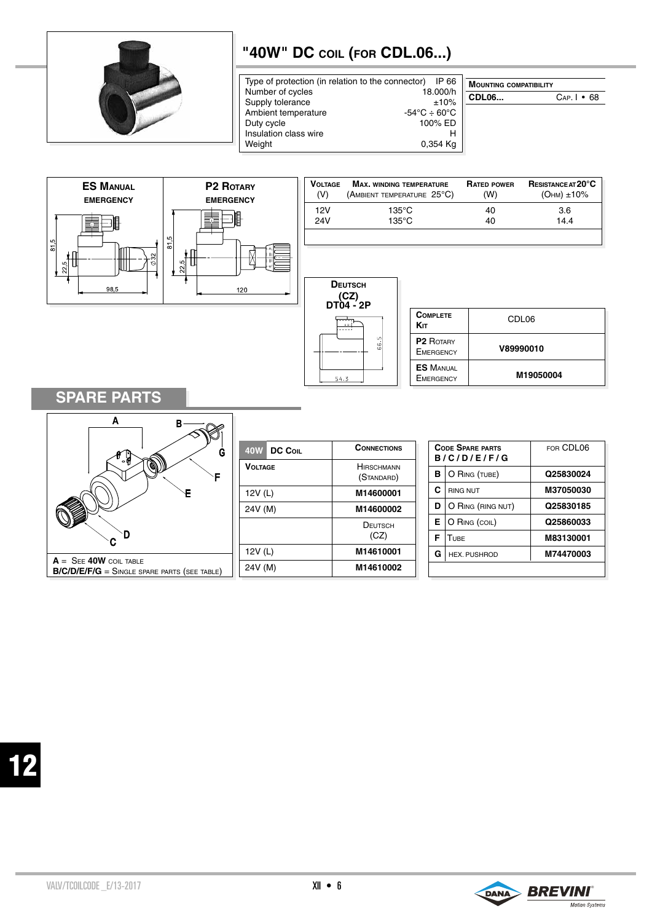

## **"40W" DC coil (for CDL.06...)**

| Type of protection (in relation to the connector) IP 66 |                                        |
|---------------------------------------------------------|----------------------------------------|
| Number of cycles                                        | 18.000/h                               |
| Supply tolerance                                        | ±10%                                   |
| Ambient temperature                                     | $-54^{\circ}$ C $\div$ 60 $^{\circ}$ C |
| Duty cycle                                              | 100% ED                                |
| Insulation class wire                                   | н                                      |
| Weight                                                  | 0,354 Kg                               |

| <b>MOUNTING COMPATIBILITY</b> |                   |  |
|-------------------------------|-------------------|--|
| <b>CDL06</b>                  | $Cap. I \cdot 68$ |  |
|                               |                   |  |



## **SPARE PARTS**



| 40W DC Coll    | <b>CONNECTIONS</b>              |
|----------------|---------------------------------|
| <b>VOLTAGE</b> | <b>HIRSCHMANN</b><br>(STANDARD) |
| 12V (L)        | M14600001                       |
| 24V (M)        | M14600002                       |
|                | DEUTSCH<br>(CZ)                 |
| 12V (L)        | M14610001                       |
| 24V (M)        | M14610002                       |

|   | <b>CODE SPARE PARTS</b><br>B/C/D/E/F/G | FOR CDL06 |
|---|----------------------------------------|-----------|
| в | O RING (TUBE)                          | Q25830024 |
| C | <b>RING NUT</b>                        | M37050030 |
| D | O RING (RING NUT)                      | Q25830185 |
| Е | O RING (COIL)                          | Q25860033 |
| F | TURF                                   | M83130001 |
| G | <b>HEX. PUSHROD</b>                    | M74470003 |
|   |                                        |           |

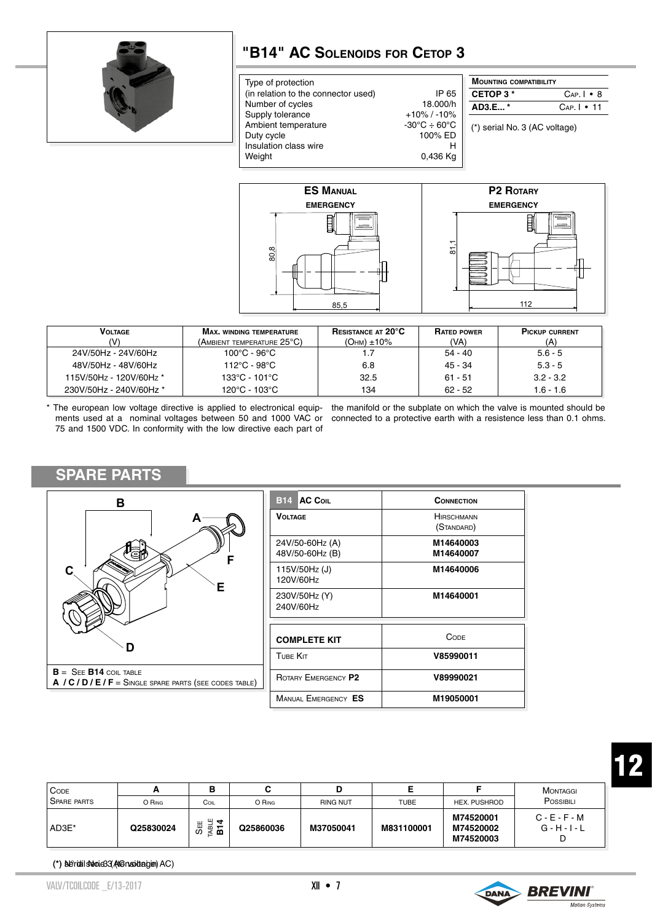

### **"B14" AC Solenoids for Cetop 3**

| Type of protection                  |                                        | <b>MOUNTING COMPATIBILITY</b> |                      |
|-------------------------------------|----------------------------------------|-------------------------------|----------------------|
| (in relation to the connector used) | IP 65                                  | CETOP 3*                      | $Cap.$   $\bullet$ 8 |
| Number of cycles                    | 18.000/h                               | AD3.E*                        | $Cap.I - 11$         |
| Supply tolerance                    | $+10\%$ / -10%                         |                               |                      |
| Ambient temperature                 | $-30^{\circ}$ C $\div$ 60 $^{\circ}$ C | (*) serial No. 3 (AC voltage) |                      |
| Duty cycle                          | 100% ED                                |                               |                      |
| Insulation class wire               | н                                      |                               |                      |
| Weight                              | 0,436 Kg                               |                               |                      |
|                                     |                                        |                               |                      |



| <b>VOLTAGE</b>          | <b>MAX, WINDING TEMPERATURE</b>     | <b>RESISTANCE AT 20°C</b> | <b>RATED POWER</b> | <b>PICKUP CURRENT</b> |
|-------------------------|-------------------------------------|---------------------------|--------------------|-----------------------|
| M                       | (Ambient temperature 25°C).         | $(OHM) \pm 10\%$          | (VA)               | (A)                   |
| 24V/50Hz - 24V/60Hz     | $100^{\circ}$ C - 96 $^{\circ}$ C - |                           | $54 - 40$          | $5.6 - 5$             |
| 48V/50Hz - 48V/60Hz     | 112°C - 98°C                        | 6.8                       | 45 - 34            | $5.3 - 5$             |
| 115V/50Hz - 120V/60Hz * | 133°C - 101°C                       | 32.5                      | $61 - 51$          | $3.2 - 3.2$           |
| 230V/50Hz - 240V/60Hz * | 120°C - 103°C                       | 134                       | $62 - 52$          | $1.6 - 1.6$           |

75 and 1500 VDC. In conformity with the low directive each part of

#### \* The european low voltage directive is applied to electronical equip- the manifold or the subplate on which the valve is mounted should be ments used at a nominal voltages between 50 and 1000 VAC or connected to a protective earth with a resistence less than 0.1 ohms.

#### **SPARE PARTS**



| <b>B14 AC COIL</b>                 | CONNECTION                      |  |  |
|------------------------------------|---------------------------------|--|--|
| VOLTAGE                            | <b>HIRSCHMANN</b><br>(STANDARD) |  |  |
| 24V/50-60Hz (A)<br>48V/50-60Hz (B) | M14640003<br>M14640007          |  |  |
| 115V/50Hz(J)<br>120V/60Hz          | M14640006                       |  |  |
| 230V/50Hz (Y)<br>240V/60Hz         | M14640001                       |  |  |
| <b>COMPLETE KIT</b>                | CODE                            |  |  |
| TUBE KIT                           | V85990011                       |  |  |
| ROTARY EMERGENCY P2                | V89990021                       |  |  |
| MANUAL EMERGENCY ES                | M19050001                       |  |  |

| CODE<br>SPARE PARTS | O RING    | в<br>COIL               | O RING    | <b>RING NUT</b> | <b>TUBE</b> | HEX. PUSHROD                        | MONTAGGI<br>POSSIBILI              |
|---------------------|-----------|-------------------------|-----------|-----------------|-------------|-------------------------------------|------------------------------------|
| AD3E*               | Q25830024 | щ<br>ਚ<br>SĦ<br>ᆱ<br>医面 | Q25860036 | M37050041       | M831100001  | M74520001<br>M74520002<br>M74520003 | $C - E - F - M$<br>$G - H - I - L$ |

(\*) Seriali seroie33 (AtGnasiotagien) AC)

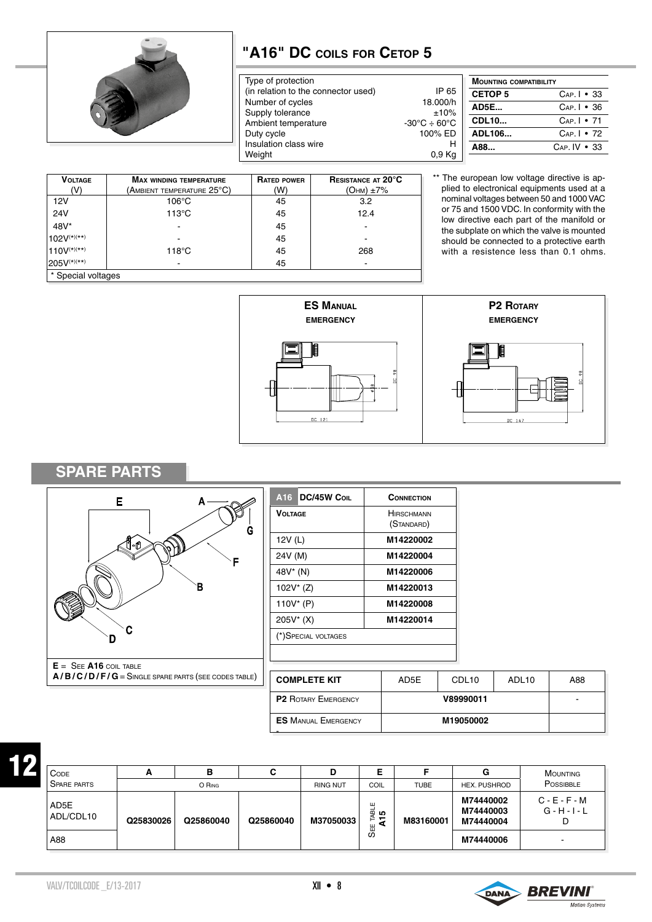

## **"A16" DC coils for Cetop 5**

| Type of protection                  |                                               |
|-------------------------------------|-----------------------------------------------|
| (in relation to the connector used) | IP 65                                         |
| Number of cycles                    | 18.000/h                                      |
| Supply tolerance                    | ±10%                                          |
| Ambient temperature                 | $-30^{\circ}\text{C} \div 60^{\circ}\text{C}$ |
| Duty cycle                          | 100% ED                                       |
| Insulation class wire               | н                                             |
| Weight                              | 0.9 <sub>Kq</sub>                             |
|                                     |                                               |

| <b>MOUNTING COMPATIBILITY</b> |                    |  |
|-------------------------------|--------------------|--|
| <b>CETOP 5</b>                | $Cap.I - 33$       |  |
| <b>AD5E</b>                   | $Cap.1 \cdot 36$   |  |
| <b>CDL10</b>                  | $Cap.I - 71$       |  |
| ADL106                        | $Cap.1 \cdot 72$   |  |
| A88                           | $Cap. IV \cdot 33$ |  |

| <b>VOLTAGE</b>     | <b>MAX WINDING TEMPERATURE</b> | <b>RATED POWER</b> | <b>RESISTANCE AT 20°C</b> |  |  |
|--------------------|--------------------------------|--------------------|---------------------------|--|--|
| (V)                | (Ambient temperature 25°C)     | (W)                | $(OHM) \pm 7\%$           |  |  |
| 12V                | $106^{\circ}$ C                | 45                 | 3.2                       |  |  |
| <b>24V</b>         | $113^{\circ}$ C                | 45                 | 12.4                      |  |  |
| 48V*               | $\overline{\phantom{a}}$       | 45                 |                           |  |  |
| $102V^{(*)(**)}$   |                                | 45                 |                           |  |  |
| $110V^{(*)(**)}$   | $118^{\circ}$ C                | 45                 | 268                       |  |  |
| $1205V^{(*)(**)}$  | $\overline{\phantom{a}}$       | 45                 | ۰                         |  |  |
| * Special voltages |                                |                    |                           |  |  |

\*\* The european low voltage directive is applied to electronical equipments used at a nominal voltages between 50 and 1000 VAC or 75 and 1500 VDC. In conformity with the low directive each part of the manifold or the subplate on which the valve is mounted should be connected to a protective earth with a resistence less than 0.1 ohms.



#### **SPARE PARTS**



| A <sub>16</sub> DC/45W Coll | CONNECTION                      |
|-----------------------------|---------------------------------|
| <b>VOLTAGE</b>              | <b>HIRSCHMANN</b><br>(STANDARD) |
| 12V(L)                      | M14220002                       |
| 24V (M)                     | M14220004                       |
| 48V* (N)                    | M14220006                       |
| $102V^*(Z)$                 | M14220013                       |
| 110V $*$ (P)                | M14220008                       |
| 205V* (X)                   | M14220014                       |
| (*) SPECIAL VOLTAGES        |                                 |

| <b>COMPLETE KIT</b>        | AD5E | CDL <sub>10</sub> | ADL <sub>10</sub> | A88 |
|----------------------------|------|-------------------|-------------------|-----|
| <b>P2 ROTARY EMERGENCY</b> |      | -                 |                   |     |
| <b>ES MANUAL EMERGENCY</b> |      |                   |                   |     |

| <b>CODE</b>        | -         |           | С         | D               |                            |             | G                                   | MOUNTING                                |
|--------------------|-----------|-----------|-----------|-----------------|----------------------------|-------------|-------------------------------------|-----------------------------------------|
| <b>SPARE PARTS</b> |           | O RING    |           | <b>RING NUT</b> | COIL                       | <b>TUBE</b> | <b>HEX. PUSHROD</b>                 | <b>POSSIBBLE</b>                        |
| AD5E<br>ADL/CDL10  | Q25830026 | Q25860040 | Q25860040 | M37050033       | ш<br><b>TABL</b><br>ഗ<br>- | M83160001   | M74440002<br>M74440003<br>M74440004 | $C - E - F - M$<br>$G - H - I - L$<br>D |
| A88                |           |           |           |                 | SEE                        |             | M74440006                           |                                         |

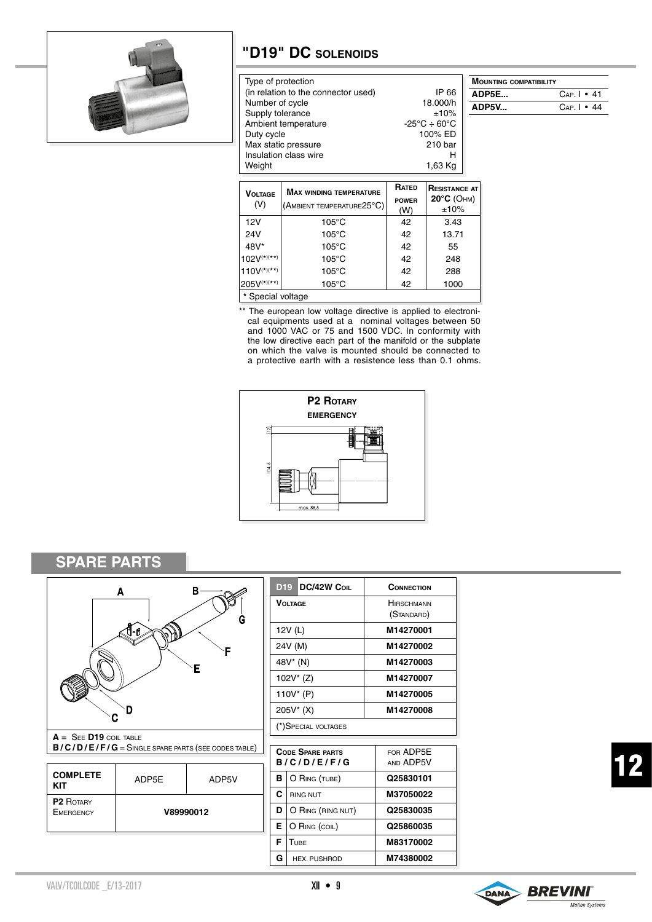

### **"D19" DC solenoids**

| Type of protection                  |                                        | <b>MOUNT</b>     |
|-------------------------------------|----------------------------------------|------------------|
| (in relation to the connector used) | IP 66                                  | ADP <sub>5</sub> |
| Number of cycle                     | 18.000/h                               | ADP5             |
| Supply tolerance                    | ±10%                                   |                  |
| Ambient temperature                 | $-25^{\circ}$ C $\div$ 60 $^{\circ}$ C |                  |
| Duty cycle                          | 100% ED                                |                  |
| Max static pressure                 | 210 bar                                |                  |
| Insulation class wire               | н                                      |                  |
| Weight                              | 1,63 Kg                                |                  |
|                                     |                                        |                  |

| <b>MOUNTING COMPATIBILITY</b> |                       |  |
|-------------------------------|-----------------------|--|
| ADP5E                         | $Cap.$   $\cdot$ 41   |  |
| ADP5V                         | $Cap.$   $\bullet$ 44 |  |

| <b>VOLTAGE</b><br>(V) | <b>MAX WINDING TEMPERATURE</b><br>(AMBIENT TEMPERATURE25°C) | RATED<br><b>POWER</b><br>(W) | <b>RESISTANCE AT</b><br>$20^{\circ}$ C (OHM)<br>±10% |
|-----------------------|-------------------------------------------------------------|------------------------------|------------------------------------------------------|
| 12V                   | $105^{\circ}$ C                                             | 42                           | 3.43                                                 |
| 24V                   | $105^{\circ}$ C                                             | 42                           | 13.71                                                |
| 48V*                  | $105^{\circ}$ C                                             | 42                           | 55                                                   |
| $102V^{(*)(**)}$      | $105^{\circ}$ C                                             | 42                           | 248                                                  |
| $110V^{(*)(**)}$      | $105^{\circ}$ C                                             | 42                           | 288                                                  |
| 205V(*)(**)           | $105^{\circ}$ C                                             | 42                           | 1000                                                 |
| * Special voltage     |                                                             |                              |                                                      |

\*\* The european low voltage directive is applied to electronical equipments used at a nominal voltages between 50 and 1000 VAC or 75 and 1500 VDC. In conformity with the low directive each part of the manifold or the subplate on which the valve is mounted should be connected to a protective earth with a resistence less than 0.1 ohms.



## **SPARE PARTS**



| $A = SEE$ $D19$ coil table                             |
|--------------------------------------------------------|
| $B/C/D/E/F/G =$ Singi e spare parts (see codes tari e) |

| <b>COMPLETE</b><br>KIT        | ADP5E     | ADP5V |
|-------------------------------|-----------|-------|
| <b>P2 ROTARY</b><br>EMERGENCY | V89990012 |       |

| <b>DC/42W COIL</b><br>D <sub>19</sub> | CONNECTION                      |
|---------------------------------------|---------------------------------|
| <b>VOLTAGE</b>                        | <b>HIRSCHMANN</b><br>(STANDARD) |
| 12V (L)                               | M14270001                       |
| 24V (M)                               | M14270002                       |
| 48V* (N)                              | M14270003                       |
| $102V^*(Z)$                           | M14270007                       |
| 110V* (P)                             | M14270005                       |
| 205V* (X)                             | M14270008                       |
| (*) SPECIAL VOLTAGES                  |                                 |

|                        |           | $B/C/D/E/F/G = S$ ingle spare parts (see codes table) |                    | <b>CODE SPARE PARTS</b><br>B/C/D/E/F/G | FOR ADP5E<br>AND ADP5V |
|------------------------|-----------|-------------------------------------------------------|--------------------|----------------------------------------|------------------------|
| <b>COMPLETE</b><br>KIT | ADP5E     | ADP5V                                                 | в<br>O RING (TUBE) |                                        | Q25830101              |
| P <sub>2</sub> ROTARY  | V89990012 |                                                       | С                  | <b>RING NUT</b>                        | M37050022              |
| <b>EMERGENCY</b>       |           |                                                       | D                  | O RING (RING NUT)                      | Q25830035              |
|                        |           |                                                       | Е                  | O RING (COIL)                          | Q25860035              |
|                        |           |                                                       | F                  | TUBE                                   | M83170002              |
|                        |           |                                                       | G                  | <b>HEX. PUSHROD</b>                    | M74380002              |

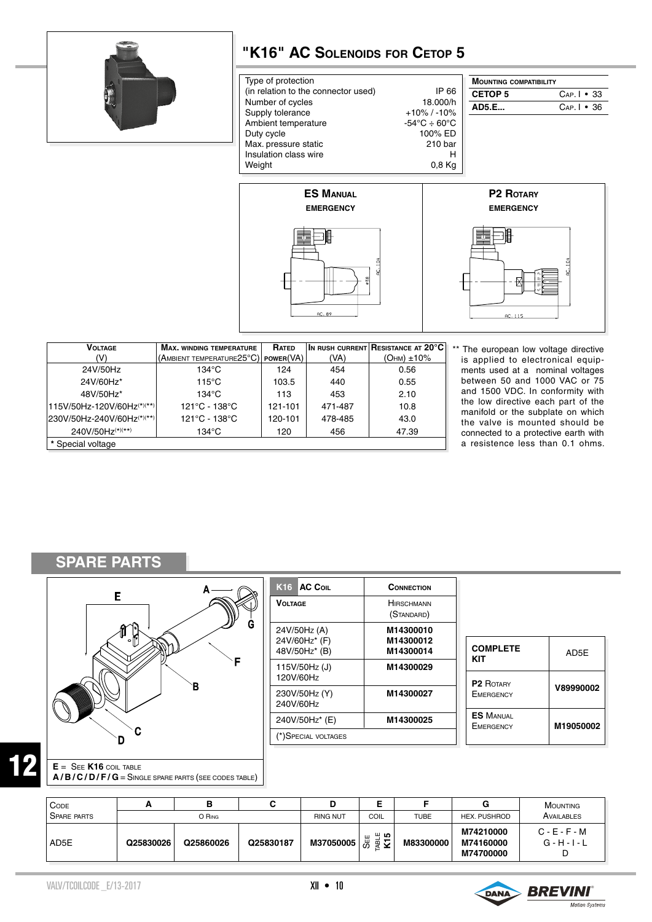

## **"K16" AC Solenoids for Cetop 5**

| Type of protection                                                                                                                                                                                                                                         |       | <b>MOUNTING COMPATIBILITY</b>        |                     |
|------------------------------------------------------------------------------------------------------------------------------------------------------------------------------------------------------------------------------------------------------------|-------|--------------------------------------|---------------------|
| (in relation to the connector used)                                                                                                                                                                                                                        | IP 66 | <b>CETOP 5</b>                       | $Cap.$   $\cdot$ 33 |
| Number of cycles<br>18.000/h<br>Supply tolerance<br>$+10\%$ / -10%<br>$-54^{\circ}\text{C} \div 60^{\circ}\text{C}$<br>Ambient temperature<br>100% ED<br>Duty cycle<br>Max. pressure static<br>210 bar<br>Insulation class wire<br>н<br>Weight<br>$0,8$ Kg |       | <b>AD5.E</b>                         | $Cap.$   $\cdot$ 36 |
| <b>ES MANUAL</b><br><b>EMERGENCY</b>                                                                                                                                                                                                                       |       | <b>P2 ROTARY</b><br><b>EMERGENCY</b> |                     |
| 旧                                                                                                                                                                                                                                                          |       | 眉                                    |                     |





| <b>VOLTAGE</b>             | <b>MAX. WINDING TEMPERATURE</b>     | <b>RATED</b> |         | $ $ In rush current $ $ Resistance at 20°C $ $ |
|----------------------------|-------------------------------------|--------------|---------|------------------------------------------------|
| (V)                        | (AMBIENT TEMPERATURE25°C) POWER(VA) |              | (VA)    | $(OHM) \pm 10\%$                               |
| 24V/50Hz                   | $134^{\circ}$ C                     | 124          | 454     | 0.56                                           |
| 24V/60Hz*                  | $115^{\circ}$ C                     | 103.5        | 440     | 0.55                                           |
| 48V/50Hz*                  | $134^{\circ}$ C                     | 113          | 453     | 2.10                                           |
| 115V/50Hz-120V/60Hz(*)(**) | 121°C - 138°C                       | 121-101      | 471-487 | 10.8                                           |
| 230V/50Hz-240V/60Hz(*)(**) | 121°C - 138°C                       | 120-101      | 478-485 | 43.0                                           |
| 240V/50Hz(*)(**)           | $134^{\circ}$ C                     | 120          | 456     | 47.39                                          |
| * Special voltage          |                                     |              |         |                                                |

\*\* The european low voltage directive is applied to electronical equipments used at a nominal voltages between 50 and 1000 VAC or 75 and 1500 VDC. In conformity with the low directive each part of the manifold or the subplate on which the valve is mounted should be connected to a protective earth with a resistence less than 0.1 ohms.

## **SPARE PARTS**



| K <sub>16</sub> AC Coll        | <b>CONNECTION</b>               |                       |
|--------------------------------|---------------------------------|-----------------------|
| <b>VOLTAGE</b>                 | <b>HIRSCHMANN</b><br>(STANDARD) |                       |
| 24V/50Hz (A)                   | M14300010                       |                       |
| 24V/60Hz* (F)<br>48V/50Hz* (B) | M14300012<br>M14300014          | <b>COMF</b><br>KIT    |
| 115V/50Hz(J)<br>120V/60Hz      | M14300029                       | P2R                   |
| 230V/50Hz (Y)<br>240V/60Hz     | M14300027                       | EMERG                 |
| 240V/50Hz* (E)                 | M14300025                       | ES M/<br><b>EMERG</b> |
| (*)Special voltages            |                                 |                       |

| <b>COMPLETE</b><br>KIT               | AD5E      |
|--------------------------------------|-----------|
| <b>P2 ROTARY</b><br><b>EMERGENCY</b> | V89990002 |
| <b>ES MANUAL</b><br><b>EMERGENCY</b> | M19050002 |

# 12

**A / B / C / D / F / G** = Single spare parts (see codes table)

| CODE               |           |           | ີ         | D               | Е<br>▃                                  |             | G                                   | <b>MOUNTING</b>                  |
|--------------------|-----------|-----------|-----------|-----------------|-----------------------------------------|-------------|-------------------------------------|----------------------------------|
| <b>SPARE PARTS</b> |           | O RING    |           | <b>RING NUT</b> | COIL                                    | <b>TUBE</b> | HEX. PUSHROD                        | AVAILABLES                       |
| AD5E               | Q25830026 | Q25860026 | Q25830187 | M37050005       | ື ທ<br>ш<br><sub>몇 <b>즈</b></sub><br>යි | M83300000   | M74210000<br>M74160000<br>M74700000 | $C - E - F - M$<br>G - H - I - L |



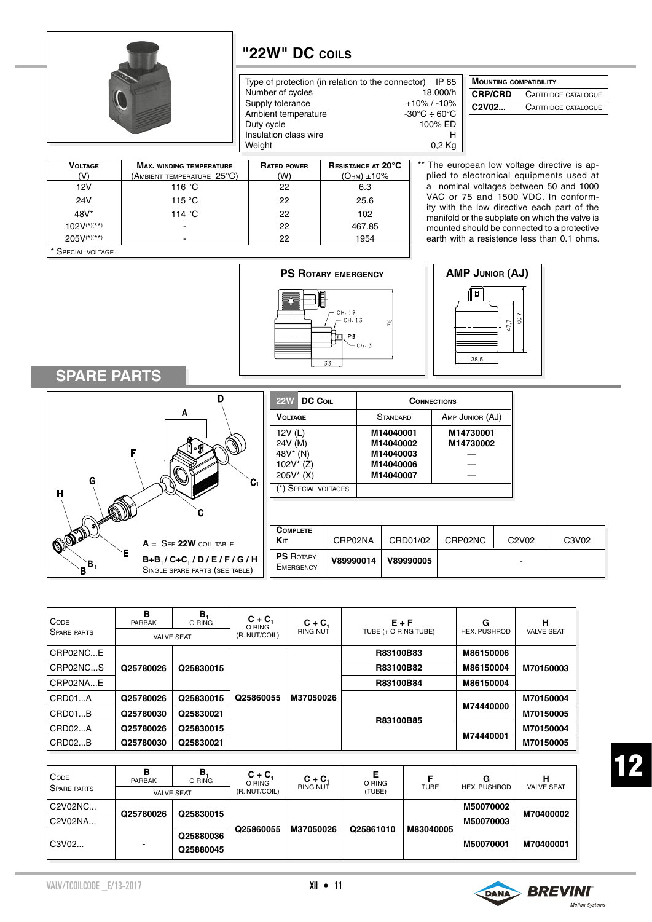

**Max. winding temperature**

**Voltage**  $(V)$ 

#### **"22W" DC coils**

**Rated power** (W)

Type of protection (in relation to the connector) IP 65 Number of cycles 18.000/h<br>Supply tolerance  $+10\%$  / -10% Supply tolerance  $+10\%$  / -10%<br>Ambient temperature  $-30^{\circ}\text{C} \div 60^{\circ}\text{C}$ Ambient temperature  $-30^{\circ}$ C ÷ 60°C<br>Duty cycle 100% ED Duty cycle Insulation class wire **H**<br>Weight **D**,2 Kg Weight

> **Resistance at 20°C**   $(OHM) \pm 10%$

| <b>MOUNTING COMPATIBILITY</b>                |                            |  |  |  |
|----------------------------------------------|----------------------------|--|--|--|
| <b>CRP/CRD</b><br><b>CARTRIDGE CATALOGUE</b> |                            |  |  |  |
| C2V02                                        | <b>CARTRIDGE CATALOGUE</b> |  |  |  |

\*\* The european low voltage directive is applied to electronical equipments used at a nominal voltages between 50 and 1000 VAC or 75 and 1500 VDC. In conformity with the low directive each part of the manifold or the subplate on which the valve is mounted should be connected to a protective earth with a resistence less than 0.1 ohms.

| 'V)               | (AMBIENT TEMPERATURE $25^{\circ}$ C) | (W) | $(OHM) \pm 10\%$           |
|-------------------|--------------------------------------|-----|----------------------------|
| 12V               | 116 °C                               | 22  | 6.3                        |
| 24V               | 115 °C                               | 22  | 25.6                       |
| $48V^*$           | 114 $\degree$ C                      | 22  | 102                        |
| $102V^{(*)(**)}$  |                                      | 22  | 467.85                     |
| $205V^{(*)(**)}$  |                                      | 22  | 1954                       |
| * SPECIAL VOLTAGE |                                      |     |                            |
|                   |                                      |     |                            |
|                   |                                      |     | <b>PS ROTARY EMERGENCY</b> |
|                   |                                      |     |                            |



**AMP Junior (AJ)**  $\overline{a}$ 60,7 47,7 38,5

#### **SPARE PARTS**



| 22W DC COIL                                                | <b>CONNECTIONS</b>                                            |                        |  |  |
|------------------------------------------------------------|---------------------------------------------------------------|------------------------|--|--|
| <b>VOLTAGE</b>                                             | <b>STANDARD</b>                                               | AMP JUNIOR (AJ)        |  |  |
| 12V (L)<br>24V (M)<br>48V* (N)<br>$102V^*(Z)$<br>205V* (X) | M14040001<br>M14040002<br>M14040003<br>M14040006<br>M14040007 | M14730001<br>M14730002 |  |  |
| (*) Special voltages                                       |                                                               |                        |  |  |

|                   | <b>COMPLETE</b><br>Kіт        | CRP02NA   | CRD01/02  | CRP02NC | C <sub>2</sub> V <sub>02</sub> | C3V02 |
|-------------------|-------------------------------|-----------|-----------|---------|--------------------------------|-------|
| / G / H<br>TABLE) | <b>PS</b> ROTARY<br>EMERGENCY | V89990014 | V89990005 |         |                                |       |

| <b>CODE</b><br><b>SPARE PARTS</b> | в<br>PARBAK | В,<br>O RING<br><b>VALVE SEAT</b> | $C + C$<br>O RING<br>(R. NUT/COIL) | $C + C_1$<br><b>RING NUT</b> | $E + F$<br>TUBE (+ O RING TUBE) | G<br><b>HEX. PUSHROD</b> | н<br><b>VALVE SEAT</b> |           |           |  |
|-----------------------------------|-------------|-----------------------------------|------------------------------------|------------------------------|---------------------------------|--------------------------|------------------------|-----------|-----------|--|
| CRP02NCE                          |             |                                   |                                    |                              | R83100B83                       | M86150006                |                        |           |           |  |
| CRP02NCS                          | Q25780026   | Q25830015                         |                                    |                              | R83100B82                       | M86150004                | M70150003              |           |           |  |
| CRP02NAE                          |             |                                   |                                    |                              |                                 |                          |                        | R83100B84 | M86150004 |  |
| CRD01A                            | Q25780026   | Q25830015                         | Q25860055                          | M37050026                    |                                 | M74440000                | M70150004              |           |           |  |
| CRD01B                            | Q25780030   | Q25830021                         |                                    |                              |                                 | R83100B85                |                        | M70150005 |           |  |
| CRD02A                            | Q25780026   | Q25830015                         |                                    |                              |                                 |                          | M70150004              |           |           |  |
| CRD02B                            | Q25780030   | Q25830021                         |                                    |                              |                                 | M74440001                | M70150005              |           |           |  |

| <b>CODE</b><br><b>SPARE PARTS</b> | в<br><b>PARBAK</b> | в,<br>O RING<br><b>VALVE SEAT</b> | $C + C_1$<br>O RING<br>(R. NUT/COIL) | $C + C$<br><b>RING NUT</b> | Е<br>O RING<br>(TUBE) | <b>TUBE</b> | G<br><b>HEX. PUSHROD</b> | н<br><b>VALVE SEAT</b> |
|-----------------------------------|--------------------|-----------------------------------|--------------------------------------|----------------------------|-----------------------|-------------|--------------------------|------------------------|
| C2V02NC<br>C2V02NA                | Q25780026          | Q25830015                         |                                      |                            | Q25861010             | M83040005   | M50070002<br>M50070003   | M70400002              |
| C3V02                             |                    | Q25880036<br>Q25880045            | Q25860055                            | M37050026                  |                       |             | M50070001                | M70400001              |